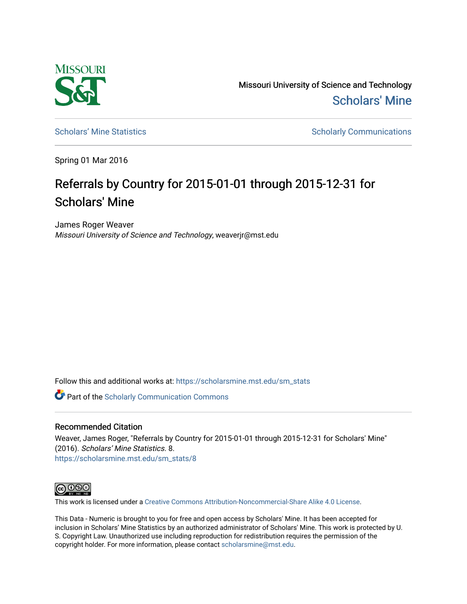

Missouri University of Science and Technology [Scholars' Mine](https://scholarsmine.mst.edu/) 

[Scholars' Mine Statistics](https://scholarsmine.mst.edu/sm_stats) Scholarly Communications

Spring 01 Mar 2016

## Referrals by Country for 2015-01-01 through 2015-12-31 for Scholars' Mine

James Roger Weaver Missouri University of Science and Technology, weaverjr@mst.edu

Follow this and additional works at: [https://scholarsmine.mst.edu/sm\\_stats](https://scholarsmine.mst.edu/sm_stats?utm_source=scholarsmine.mst.edu%2Fsm_stats%2F8&utm_medium=PDF&utm_campaign=PDFCoverPages) 

Part of the [Scholarly Communication Commons](http://network.bepress.com/hgg/discipline/1272?utm_source=scholarsmine.mst.edu%2Fsm_stats%2F8&utm_medium=PDF&utm_campaign=PDFCoverPages) 

## Recommended Citation

Weaver, James Roger, "Referrals by Country for 2015-01-01 through 2015-12-31 for Scholars' Mine" (2016). Scholars' Mine Statistics. 8. [https://scholarsmine.mst.edu/sm\\_stats/8](https://scholarsmine.mst.edu/sm_stats/8?utm_source=scholarsmine.mst.edu%2Fsm_stats%2F8&utm_medium=PDF&utm_campaign=PDFCoverPages) 



This work is licensed under a [Creative Commons Attribution-Noncommercial-Share Alike 4.0 License.](https://creativecommons.org/licenses/by-nc-sa/4.0/)

This Data - Numeric is brought to you for free and open access by Scholars' Mine. It has been accepted for inclusion in Scholars' Mine Statistics by an authorized administrator of Scholars' Mine. This work is protected by U. S. Copyright Law. Unauthorized use including reproduction for redistribution requires the permission of the copyright holder. For more information, please contact [scholarsmine@mst.edu](mailto:scholarsmine@mst.edu).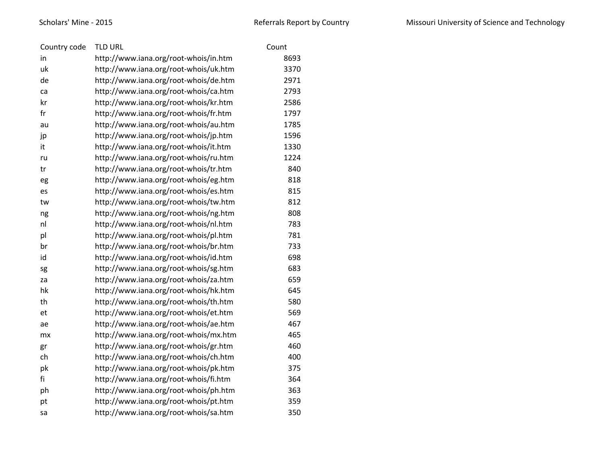| Country code | <b>TLD URL</b>                        | Count |
|--------------|---------------------------------------|-------|
| in           | http://www.iana.org/root-whois/in.htm | 8693  |
| uk           | http://www.iana.org/root-whois/uk.htm | 3370  |
| de           | http://www.iana.org/root-whois/de.htm | 2971  |
| ca           | http://www.iana.org/root-whois/ca.htm | 2793  |
| kr           | http://www.iana.org/root-whois/kr.htm | 2586  |
| fr           | http://www.iana.org/root-whois/fr.htm | 1797  |
| au           | http://www.iana.org/root-whois/au.htm | 1785  |
| jp           | http://www.iana.org/root-whois/jp.htm | 1596  |
| it           | http://www.iana.org/root-whois/it.htm | 1330  |
| ru           | http://www.iana.org/root-whois/ru.htm | 1224  |
| tr           | http://www.iana.org/root-whois/tr.htm | 840   |
| eg           | http://www.iana.org/root-whois/eg.htm | 818   |
| es           | http://www.iana.org/root-whois/es.htm | 815   |
| tw           | http://www.iana.org/root-whois/tw.htm | 812   |
| ng           | http://www.iana.org/root-whois/ng.htm | 808   |
| nl           | http://www.iana.org/root-whois/nl.htm | 783   |
| pl           | http://www.iana.org/root-whois/pl.htm | 781   |
| br           | http://www.iana.org/root-whois/br.htm | 733   |
| id           | http://www.iana.org/root-whois/id.htm | 698   |
| sg           | http://www.iana.org/root-whois/sg.htm | 683   |
| za           | http://www.iana.org/root-whois/za.htm | 659   |
| hk           | http://www.iana.org/root-whois/hk.htm | 645   |
| th           | http://www.iana.org/root-whois/th.htm | 580   |
| et           | http://www.iana.org/root-whois/et.htm | 569   |
| ae           | http://www.iana.org/root-whois/ae.htm | 467   |
| mx           | http://www.iana.org/root-whois/mx.htm | 465   |
| gr           | http://www.iana.org/root-whois/gr.htm | 460   |
| ch           | http://www.iana.org/root-whois/ch.htm | 400   |
| pk           | http://www.iana.org/root-whois/pk.htm | 375   |
| fi           | http://www.iana.org/root-whois/fi.htm | 364   |
| ph           | http://www.iana.org/root-whois/ph.htm | 363   |
| pt           | http://www.iana.org/root-whois/pt.htm | 359   |
| sa           | http://www.iana.org/root-whois/sa.htm | 350   |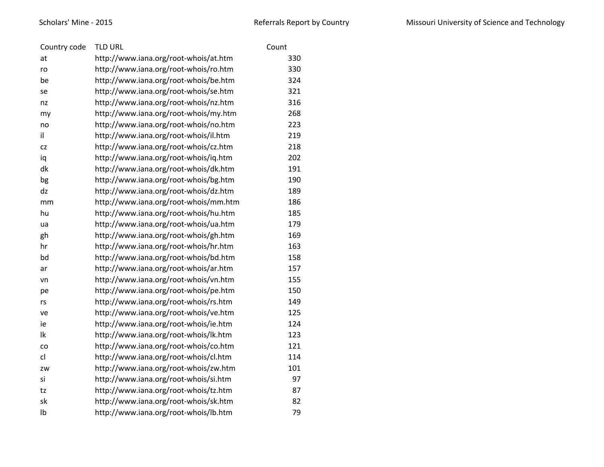| Country code | <b>TLD URL</b>                        | Count |
|--------------|---------------------------------------|-------|
| at           | http://www.iana.org/root-whois/at.htm | 330   |
| ro           | http://www.iana.org/root-whois/ro.htm | 330   |
| be           | http://www.iana.org/root-whois/be.htm | 324   |
| se           | http://www.iana.org/root-whois/se.htm | 321   |
| nz           | http://www.iana.org/root-whois/nz.htm | 316   |
| my           | http://www.iana.org/root-whois/my.htm | 268   |
| no           | http://www.iana.org/root-whois/no.htm | 223   |
| il           | http://www.iana.org/root-whois/il.htm | 219   |
| <b>CZ</b>    | http://www.iana.org/root-whois/cz.htm | 218   |
| iq           | http://www.iana.org/root-whois/iq.htm | 202   |
| dk           | http://www.iana.org/root-whois/dk.htm | 191   |
| bg           | http://www.iana.org/root-whois/bg.htm | 190   |
| dz           | http://www.iana.org/root-whois/dz.htm | 189   |
| mm           | http://www.iana.org/root-whois/mm.htm | 186   |
| hu           | http://www.iana.org/root-whois/hu.htm | 185   |
| ua           | http://www.iana.org/root-whois/ua.htm | 179   |
| gh           | http://www.iana.org/root-whois/gh.htm | 169   |
| hr           | http://www.iana.org/root-whois/hr.htm | 163   |
| bd           | http://www.iana.org/root-whois/bd.htm | 158   |
| ar           | http://www.iana.org/root-whois/ar.htm | 157   |
| vn           | http://www.iana.org/root-whois/vn.htm | 155   |
| pe           | http://www.iana.org/root-whois/pe.htm | 150   |
| rs           | http://www.iana.org/root-whois/rs.htm | 149   |
| ve           | http://www.iana.org/root-whois/ve.htm | 125   |
| ie           | http://www.iana.org/root-whois/ie.htm | 124   |
| lk           | http://www.iana.org/root-whois/lk.htm | 123   |
| co           | http://www.iana.org/root-whois/co.htm | 121   |
| cl           | http://www.iana.org/root-whois/cl.htm | 114   |
| ZW           | http://www.iana.org/root-whois/zw.htm | 101   |
| si           | http://www.iana.org/root-whois/si.htm | 97    |
| tz           | http://www.iana.org/root-whois/tz.htm | 87    |
| sk           | http://www.iana.org/root-whois/sk.htm | 82    |
| Ib           | http://www.iana.org/root-whois/lb.htm | 79    |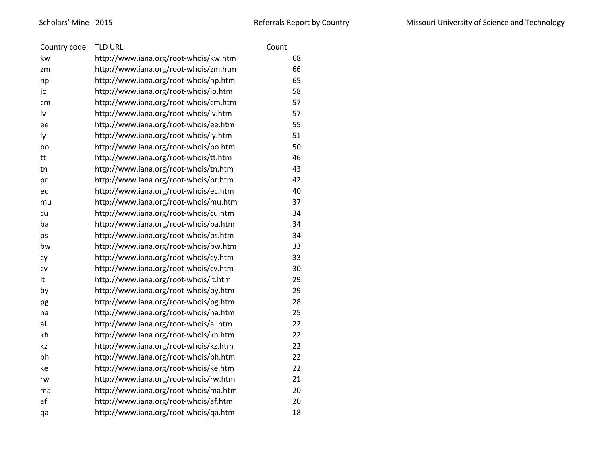| Country code | <b>TLD URL</b>                        | Count |    |
|--------------|---------------------------------------|-------|----|
| kw           | http://www.iana.org/root-whois/kw.htm |       | 68 |
| zm           | http://www.iana.org/root-whois/zm.htm |       | 66 |
| np           | http://www.iana.org/root-whois/np.htm |       | 65 |
| jo           | http://www.iana.org/root-whois/jo.htm |       | 58 |
| cm           | http://www.iana.org/root-whois/cm.htm |       | 57 |
| lv           | http://www.iana.org/root-whois/lv.htm |       | 57 |
| ee           | http://www.iana.org/root-whois/ee.htm |       | 55 |
| ly           | http://www.iana.org/root-whois/ly.htm |       | 51 |
| bo           | http://www.iana.org/root-whois/bo.htm |       | 50 |
| tt           | http://www.iana.org/root-whois/tt.htm |       | 46 |
| tn           | http://www.iana.org/root-whois/tn.htm |       | 43 |
| pr           | http://www.iana.org/root-whois/pr.htm |       | 42 |
| ec           | http://www.iana.org/root-whois/ec.htm |       | 40 |
| mu           | http://www.iana.org/root-whois/mu.htm |       | 37 |
| cu           | http://www.iana.org/root-whois/cu.htm |       | 34 |
| ba           | http://www.iana.org/root-whois/ba.htm |       | 34 |
| ps           | http://www.iana.org/root-whois/ps.htm |       | 34 |
| bw           | http://www.iana.org/root-whois/bw.htm |       | 33 |
| cy           | http://www.iana.org/root-whois/cy.htm |       | 33 |
| CV           | http://www.iana.org/root-whois/cv.htm |       | 30 |
| It           | http://www.iana.org/root-whois/lt.htm |       | 29 |
| by           | http://www.iana.org/root-whois/by.htm |       | 29 |
| pg           | http://www.iana.org/root-whois/pg.htm |       | 28 |
| na           | http://www.iana.org/root-whois/na.htm |       | 25 |
| al           | http://www.iana.org/root-whois/al.htm |       | 22 |
| kh           | http://www.iana.org/root-whois/kh.htm |       | 22 |
| kz           | http://www.iana.org/root-whois/kz.htm |       | 22 |
| bh           | http://www.iana.org/root-whois/bh.htm |       | 22 |
| ke           | http://www.iana.org/root-whois/ke.htm |       | 22 |
| rw           | http://www.iana.org/root-whois/rw.htm |       | 21 |
| ma           | http://www.iana.org/root-whois/ma.htm |       | 20 |
| af           | http://www.iana.org/root-whois/af.htm |       | 20 |
| qa           | http://www.iana.org/root-whois/qa.htm |       | 18 |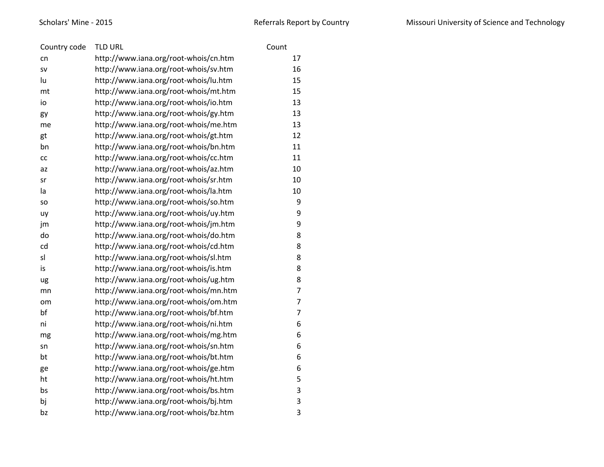| Country code | <b>TLD URL</b>                        | Count          |
|--------------|---------------------------------------|----------------|
| cn           | http://www.iana.org/root-whois/cn.htm | 17             |
| SV           | http://www.iana.org/root-whois/sv.htm | 16             |
| lu           | http://www.iana.org/root-whois/lu.htm | 15             |
| mt           | http://www.iana.org/root-whois/mt.htm | 15             |
| io           | http://www.iana.org/root-whois/io.htm | 13             |
| gy           | http://www.iana.org/root-whois/gy.htm | 13             |
| me           | http://www.iana.org/root-whois/me.htm | 13             |
| gt           | http://www.iana.org/root-whois/gt.htm | 12             |
| bn           | http://www.iana.org/root-whois/bn.htm | 11             |
| СC           | http://www.iana.org/root-whois/cc.htm | 11             |
| az           | http://www.iana.org/root-whois/az.htm | 10             |
| sr           | http://www.iana.org/root-whois/sr.htm | 10             |
| la           | http://www.iana.org/root-whois/la.htm | 10             |
| SO           | http://www.iana.org/root-whois/so.htm | 9              |
| uy           | http://www.iana.org/root-whois/uy.htm | 9              |
| jm           | http://www.iana.org/root-whois/jm.htm | 9              |
| do           | http://www.iana.org/root-whois/do.htm | 8              |
| cd           | http://www.iana.org/root-whois/cd.htm | 8              |
| sl           | http://www.iana.org/root-whois/sl.htm | 8              |
| is           | http://www.iana.org/root-whois/is.htm | 8              |
| ug           | http://www.iana.org/root-whois/ug.htm | 8              |
| mn           | http://www.iana.org/root-whois/mn.htm | $\overline{7}$ |
| om           | http://www.iana.org/root-whois/om.htm | $\overline{7}$ |
| bf           | http://www.iana.org/root-whois/bf.htm | $\overline{7}$ |
| ni           | http://www.iana.org/root-whois/ni.htm | 6              |
| mg           | http://www.iana.org/root-whois/mg.htm | 6              |
| sn           | http://www.iana.org/root-whois/sn.htm | 6              |
| bt           | http://www.iana.org/root-whois/bt.htm | 6              |
| ge           | http://www.iana.org/root-whois/ge.htm | 6              |
| ht           | http://www.iana.org/root-whois/ht.htm | 5              |
| bs           | http://www.iana.org/root-whois/bs.htm | 3              |
| bj           | http://www.iana.org/root-whois/bj.htm | 3              |
| bz           | http://www.iana.org/root-whois/bz.htm | 3              |